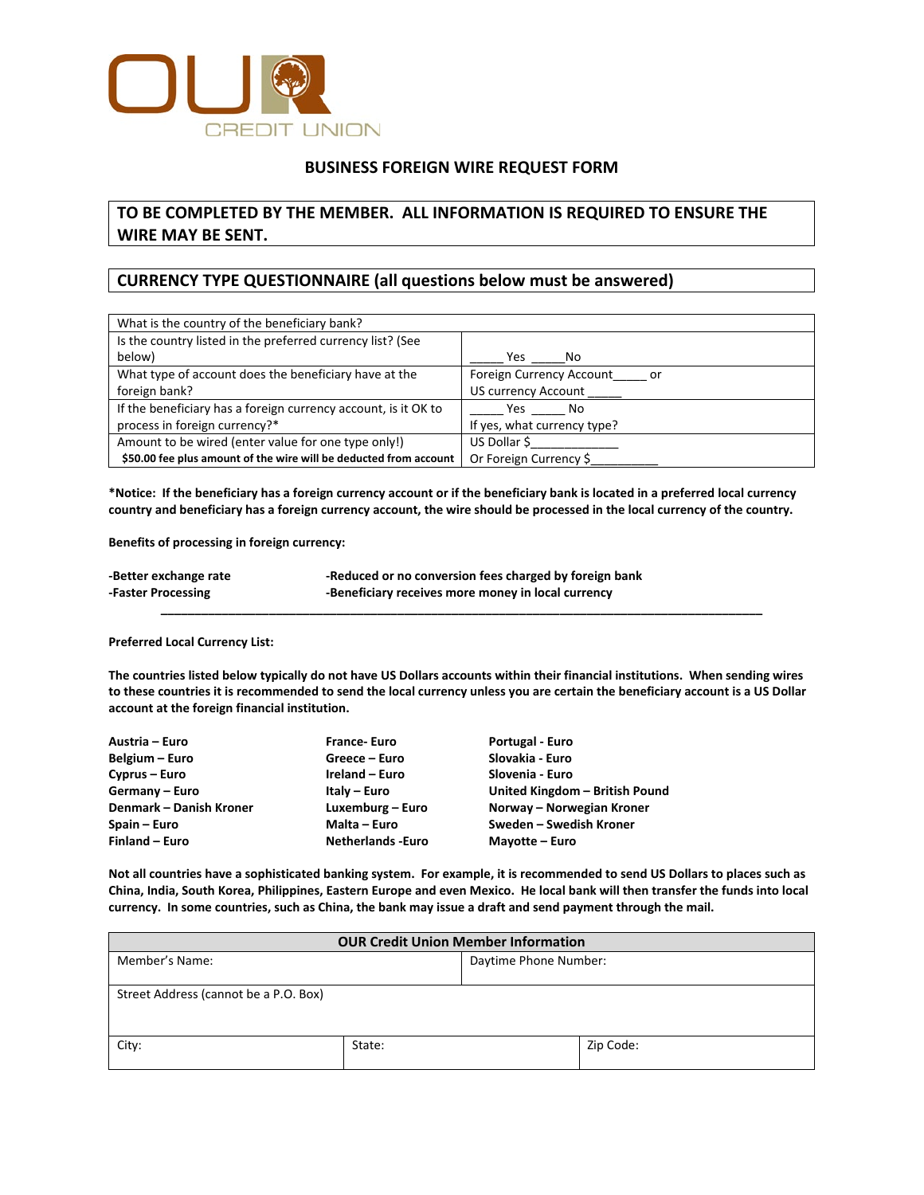

## **BUSINESS FOREIGN WIRE REQUEST FORM**

# **TO BE COMPLETED BY THE MEMBER. ALL INFORMATION IS REQUIRED TO ENSURE THE WIRE MAY BE SENT.**

## **CURRENCY TYPE QUESTIONNAIRE (all questions below must be answered)**

| What is the country of the beneficiary bank?                      |                                       |
|-------------------------------------------------------------------|---------------------------------------|
| Is the country listed in the preferred currency list? (See        |                                       |
| below)                                                            | Yes<br>No                             |
| What type of account does the beneficiary have at the             | Foreign Currency Account<br><b>or</b> |
| foreign bank?                                                     | US currency Account                   |
| If the beneficiary has a foreign currency account, is it OK to    | Yes No                                |
| process in foreign currency?*                                     | If yes, what currency type?           |
| Amount to be wired (enter value for one type only!)               | US Dollar \$                          |
| \$50.00 fee plus amount of the wire will be deducted from account | Or Foreign Currency \$                |

**\*Notice: If the beneficiary has a foreign currency account or if the beneficiary bank is located in a preferred local currency country and beneficiary has a foreign currency account, the wire should be processed in the local currency of the country.**

**Benefits of processing in foreign currency:**

| -Better exchange rate | -Reduced or no conversion fees charged by foreign bank |
|-----------------------|--------------------------------------------------------|
| -Faster Processing    | -Beneficiary receives more money in local currency     |

### **Preferred Local Currency List:**

**The countries listed below typically do not have US Dollars accounts within their financial institutions. When sending wires to these countries it is recommended to send the local currency unless you are certain the beneficiary account is a US Dollar account at the foreign financial institution.**

**\_\_\_\_\_\_\_\_\_\_\_\_\_\_\_\_\_\_\_\_\_\_\_\_\_\_\_\_\_\_\_\_\_\_\_\_\_\_\_\_\_\_\_\_\_\_\_\_\_\_\_\_\_\_\_\_\_\_\_\_\_\_\_\_\_\_\_\_\_\_\_\_\_\_\_\_\_\_\_\_\_\_\_\_\_\_\_\_\_**

| Austria – Euro          | France-Euro              | Portugal - Euro                |
|-------------------------|--------------------------|--------------------------------|
| Belgium – Euro          | Greece – Euro            | Slovakia - Euro                |
| Cyprus – Euro           | Ireland - Euro           | Slovenia - Euro                |
| Germany - Euro          | Italy - Euro             | United Kingdom - British Pound |
| Denmark - Danish Kroner | Luxemburg - Euro         | Norway – Norwegian Kroner      |
| Spain – Euro            | Malta – Euro             | Sweden – Swedish Kroner        |
| Finland - Euro          | <b>Netherlands -Euro</b> | Mayotte – Euro                 |

**Not all countries have a sophisticated banking system. For example, it is recommended to send US Dollars to places such as China, India, South Korea, Philippines, Eastern Europe and even Mexico. He local bank will then transfer the funds into local currency. In some countries, such as China, the bank may issue a draft and send payment through the mail.**

| <b>OUR Credit Union Member Information</b> |        |                       |           |
|--------------------------------------------|--------|-----------------------|-----------|
| Member's Name:                             |        | Daytime Phone Number: |           |
|                                            |        |                       |           |
| Street Address (cannot be a P.O. Box)      |        |                       |           |
|                                            |        |                       |           |
|                                            |        |                       |           |
| City:                                      | State: |                       | Zip Code: |
|                                            |        |                       |           |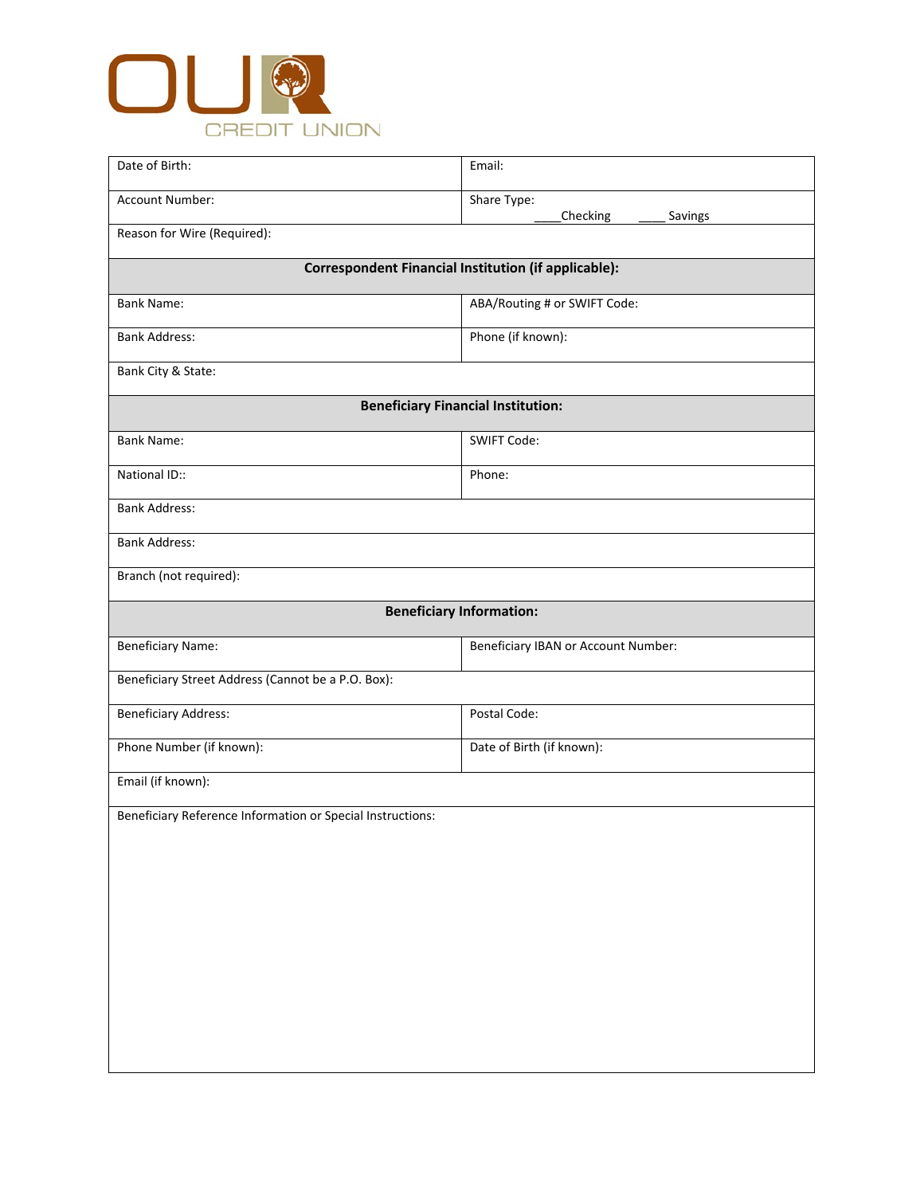

| Date of Birth:                                             | Email:                                                      |  |  |
|------------------------------------------------------------|-------------------------------------------------------------|--|--|
| Account Number:                                            | Share Type:<br>Checking                                     |  |  |
| Savings<br>Reason for Wire (Required):                     |                                                             |  |  |
|                                                            | <b>Correspondent Financial Institution (if applicable):</b> |  |  |
| <b>Bank Name:</b>                                          | ABA/Routing # or SWIFT Code:                                |  |  |
| <b>Bank Address:</b>                                       | Phone (if known):                                           |  |  |
| Bank City & State:                                         |                                                             |  |  |
|                                                            | <b>Beneficiary Financial Institution:</b>                   |  |  |
| <b>Bank Name:</b>                                          | <b>SWIFT Code:</b>                                          |  |  |
| National ID::                                              | Phone:                                                      |  |  |
| <b>Bank Address:</b>                                       |                                                             |  |  |
| <b>Bank Address:</b>                                       |                                                             |  |  |
|                                                            |                                                             |  |  |
| Branch (not required):                                     |                                                             |  |  |
|                                                            | <b>Beneficiary Information:</b>                             |  |  |
| <b>Beneficiary Name:</b>                                   | Beneficiary IBAN or Account Number:                         |  |  |
| Beneficiary Street Address (Cannot be a P.O. Box):         |                                                             |  |  |
| <b>Beneficiary Address:</b>                                | Postal Code:                                                |  |  |
| Phone Number (if known):                                   | Date of Birth (if known):                                   |  |  |
| Email (if known):                                          |                                                             |  |  |
| Beneficiary Reference Information or Special Instructions: |                                                             |  |  |
|                                                            |                                                             |  |  |
|                                                            |                                                             |  |  |
|                                                            |                                                             |  |  |
|                                                            |                                                             |  |  |
|                                                            |                                                             |  |  |
|                                                            |                                                             |  |  |
|                                                            |                                                             |  |  |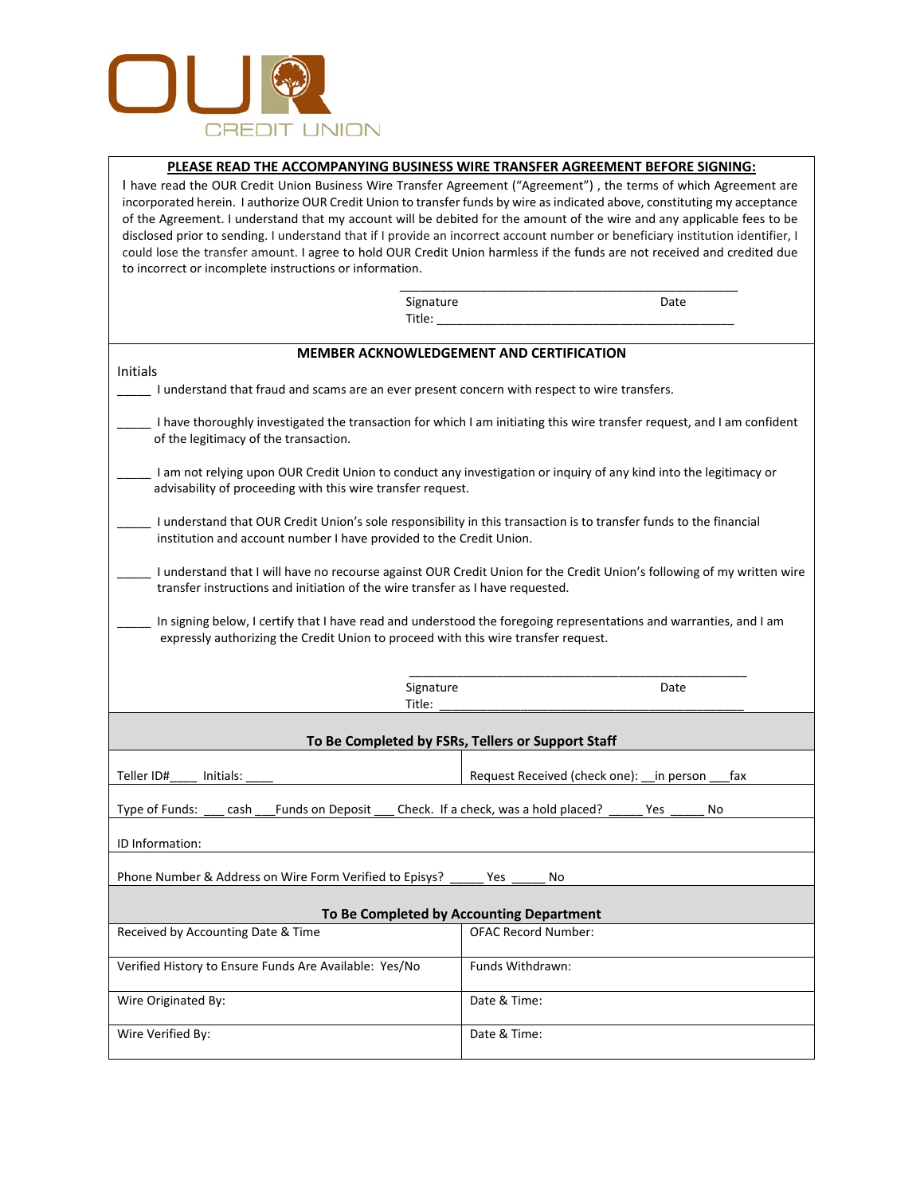

## **PLEASE READ THE ACCOMPANYING BUSINESS WIRE TRANSFER AGREEMENT BEFORE SIGNING:**

I have read the OUR Credit Union Business Wire Transfer Agreement ("Agreement") , the terms of which Agreement are incorporated herein. I authorize OUR Credit Union to transfer funds by wire as indicated above, constituting my acceptance of the Agreement. I understand that my account will be debited for the amount of the wire and any applicable fees to be disclosed prior to sending. I understand that if I provide an incorrect account number or beneficiary institution identifier, I could lose the transfer amount. I agree to hold OUR Credit Union harmless if the funds are not received and credited due to incorrect or incomplete instructions or information.

| Signature                                                                                                                                                                                 | Date                                                                                                                    |
|-------------------------------------------------------------------------------------------------------------------------------------------------------------------------------------------|-------------------------------------------------------------------------------------------------------------------------|
| Title:                                                                                                                                                                                    |                                                                                                                         |
| <b>MEMBER ACKNOWLEDGEMENT AND CERTIFICATION</b>                                                                                                                                           |                                                                                                                         |
| Initials                                                                                                                                                                                  |                                                                                                                         |
| I understand that fraud and scams are an ever present concern with respect to wire transfers.                                                                                             |                                                                                                                         |
| of the legitimacy of the transaction.                                                                                                                                                     | I have thoroughly investigated the transaction for which I am initiating this wire transfer request, and I am confident |
| advisability of proceeding with this wire transfer request.                                                                                                                               | I am not relying upon OUR Credit Union to conduct any investigation or inquiry of any kind into the legitimacy or       |
| I understand that OUR Credit Union's sole responsibility in this transaction is to transfer funds to the financial<br>institution and account number I have provided to the Credit Union. |                                                                                                                         |
| transfer instructions and initiation of the wire transfer as I have requested.                                                                                                            | I understand that I will have no recourse against OUR Credit Union for the Credit Union's following of my written wire  |
| expressly authorizing the Credit Union to proceed with this wire transfer request.                                                                                                        | In signing below, I certify that I have read and understood the foregoing representations and warranties, and I am      |
| Signature<br>Title:                                                                                                                                                                       | Date                                                                                                                    |
| To Be Completed by FSRs, Tellers or Support Staff                                                                                                                                         |                                                                                                                         |
| Teller ID#<br>Initials:                                                                                                                                                                   | Request Received (check one):<br>in person<br>fax                                                                       |
| Type of Funds:<br>cash<br><b>Funds on Deposit</b>                                                                                                                                         | Check. If a check, was a hold placed?<br>Yes<br>No                                                                      |
| ID Information:                                                                                                                                                                           |                                                                                                                         |
| Phone Number & Address on Wire Form Verified to Episys?                                                                                                                                   | Yes<br>No                                                                                                               |
| To Be Completed by Accounting Department                                                                                                                                                  |                                                                                                                         |
| Received by Accounting Date & Time                                                                                                                                                        | <b>OFAC Record Number:</b>                                                                                              |
| Verified History to Ensure Funds Are Available: Yes/No                                                                                                                                    | Funds Withdrawn:                                                                                                        |
| Wire Originated By:                                                                                                                                                                       | Date & Time:                                                                                                            |

Wire Verified By:  $\blacksquare$  Date & Time: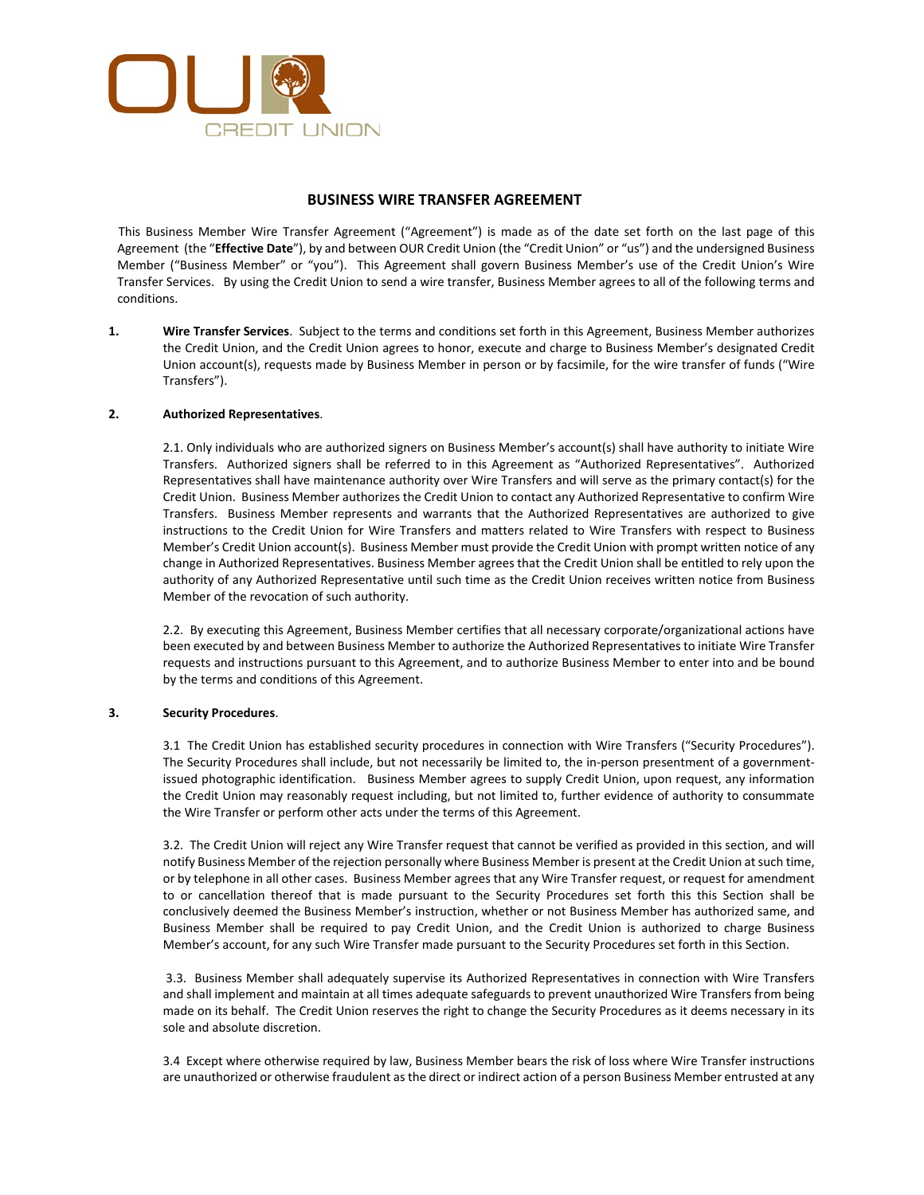

## **BUSINESS WIRE TRANSFER AGREEMENT**

This Business Member Wire Transfer Agreement ("Agreement") is made as of the date set forth on the last page of this Agreement (the "**Effective Date**"), by and between OUR Credit Union (the "Credit Union" or "us") and the undersigned Business Member ("Business Member" or "you"). This Agreement shall govern Business Member's use of the Credit Union's Wire Transfer Services. By using the Credit Union to send a wire transfer, Business Member agrees to all of the following terms and conditions.

**1. Wire Transfer Services**. Subject to the terms and conditions set forth in this Agreement, Business Member authorizes the Credit Union, and the Credit Union agrees to honor, execute and charge to Business Member's designated Credit Union account(s), requests made by Business Member in person or by facsimile, for the wire transfer of funds ("Wire Transfers").

## **2. Authorized Representatives**.

2.1. Only individuals who are authorized signers on Business Member's account(s) shall have authority to initiate Wire Transfers. Authorized signers shall be referred to in this Agreement as "Authorized Representatives". Authorized Representatives shall have maintenance authority over Wire Transfers and will serve as the primary contact(s) for the Credit Union. Business Member authorizes the Credit Union to contact any Authorized Representative to confirm Wire Transfers. Business Member represents and warrants that the Authorized Representatives are authorized to give instructions to the Credit Union for Wire Transfers and matters related to Wire Transfers with respect to Business Member's Credit Union account(s). Business Member must provide the Credit Union with prompt written notice of any change in Authorized Representatives. Business Member agrees that the Credit Union shall be entitled to rely upon the authority of any Authorized Representative until such time as the Credit Union receives written notice from Business Member of the revocation of such authority.

2.2. By executing this Agreement, Business Member certifies that all necessary corporate/organizational actions have been executed by and between Business Member to authorize the Authorized Representatives to initiate Wire Transfer requests and instructions pursuant to this Agreement, and to authorize Business Member to enter into and be bound by the terms and conditions of this Agreement.

### **3. Security Procedures**.

3.1 The Credit Union has established security procedures in connection with Wire Transfers ("Security Procedures"). The Security Procedures shall include, but not necessarily be limited to, the in-person presentment of a governmentissued photographic identification. Business Member agrees to supply Credit Union, upon request, any information the Credit Union may reasonably request including, but not limited to, further evidence of authority to consummate the Wire Transfer or perform other acts under the terms of this Agreement.

3.2. The Credit Union will reject any Wire Transfer request that cannot be verified as provided in this section, and will notify Business Member of the rejection personally where Business Member is present at the Credit Union at such time, or by telephone in all other cases. Business Member agrees that any Wire Transfer request, or request for amendment to or cancellation thereof that is made pursuant to the Security Procedures set forth this this Section shall be conclusively deemed the Business Member's instruction, whether or not Business Member has authorized same, and Business Member shall be required to pay Credit Union, and the Credit Union is authorized to charge Business Member's account, for any such Wire Transfer made pursuant to the Security Procedures set forth in this Section.

3.3. Business Member shall adequately supervise its Authorized Representatives in connection with Wire Transfers and shall implement and maintain at all times adequate safeguards to prevent unauthorized Wire Transfers from being made on its behalf. The Credit Union reserves the right to change the Security Procedures as it deems necessary in its sole and absolute discretion.

3.4 Except where otherwise required by law, Business Member bears the risk of loss where Wire Transfer instructions are unauthorized or otherwise fraudulent as the direct or indirect action of a person Business Member entrusted at any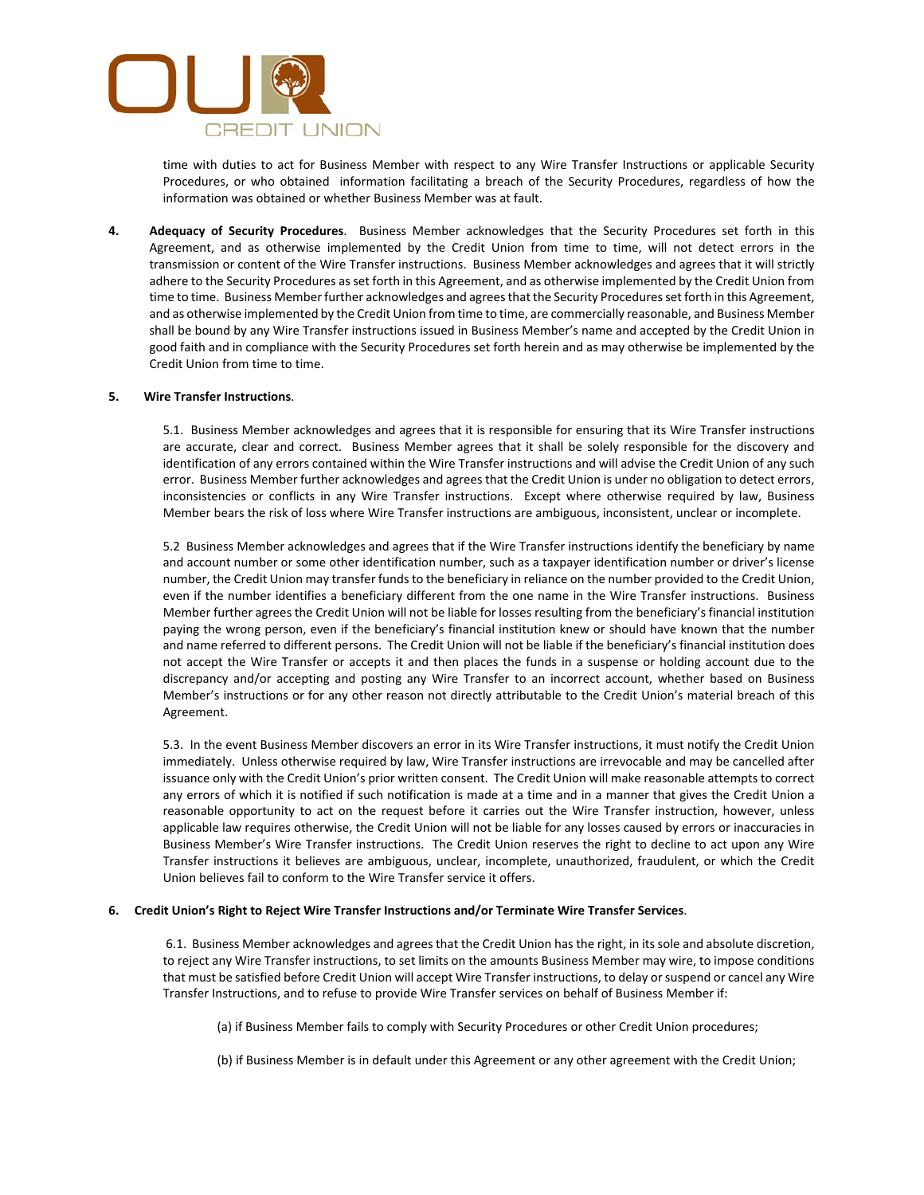

time with duties to act for Business Member with respect to any Wire Transfer Instructions or applicable Security Procedures, or who obtained information facilitating a breach of the Security Procedures, regardless of how the information was obtained or whether Business Member was at fault.

**4. Adequacy of Security Procedures**. Business Member acknowledges that the Security Procedures set forth in this Agreement, and as otherwise implemented by the Credit Union from time to time, will not detect errors in the transmission or content of the Wire Transfer instructions. Business Member acknowledges and agrees that it will strictly adhere to the Security Procedures as set forth in this Agreement, and as otherwise implemented by the Credit Union from time to time. Business Member further acknowledges and agrees that the Security Procedures set forth in this Agreement, and as otherwise implemented by the Credit Union from time to time, are commercially reasonable, and Business Member shall be bound by any Wire Transfer instructions issued in Business Member's name and accepted by the Credit Union in good faith and in compliance with the Security Procedures set forth herein and as may otherwise be implemented by the Credit Union from time to time.

### **5. Wire Transfer Instructions**.

5.1. Business Member acknowledges and agrees that it is responsible for ensuring that its Wire Transfer instructions are accurate, clear and correct. Business Member agrees that it shall be solely responsible for the discovery and identification of any errors contained within the Wire Transfer instructions and will advise the Credit Union of any such error. Business Member further acknowledges and agrees that the Credit Union is under no obligation to detect errors, inconsistencies or conflicts in any Wire Transfer instructions. Except where otherwise required by law, Business Member bears the risk of loss where Wire Transfer instructions are ambiguous, inconsistent, unclear or incomplete.

5.2 Business Member acknowledges and agrees that if the Wire Transfer instructions identify the beneficiary by name and account number or some other identification number, such as a taxpayer identification number or driver's license number, the Credit Union may transfer funds to the beneficiary in reliance on the number provided to the Credit Union, even if the number identifies a beneficiary different from the one name in the Wire Transfer instructions. Business Member further agrees the Credit Union will not be liable for losses resulting from the beneficiary's financial institution paying the wrong person, even if the beneficiary's financial institution knew or should have known that the number and name referred to different persons. The Credit Union will not be liable if the beneficiary's financial institution does not accept the Wire Transfer or accepts it and then places the funds in a suspense or holding account due to the discrepancy and/or accepting and posting any Wire Transfer to an incorrect account, whether based on Business Member's instructions or for any other reason not directly attributable to the Credit Union's material breach of this Agreement.

5.3. In the event Business Member discovers an error in its Wire Transfer instructions, it must notify the Credit Union immediately. Unless otherwise required by law, Wire Transfer instructions are irrevocable and may be cancelled after issuance only with the Credit Union's prior written consent. The Credit Union will make reasonable attempts to correct any errors of which it is notified if such notification is made at a time and in a manner that gives the Credit Union a reasonable opportunity to act on the request before it carries out the Wire Transfer instruction, however, unless applicable law requires otherwise, the Credit Union will not be liable for any losses caused by errors or inaccuracies in Business Member's Wire Transfer instructions. The Credit Union reserves the right to decline to act upon any Wire Transfer instructions it believes are ambiguous, unclear, incomplete, unauthorized, fraudulent, or which the Credit Union believes fail to conform to the Wire Transfer service it offers.

#### **6. Credit Union's Right to Reject Wire Transfer Instructions and/or Terminate Wire Transfer Services**.

6.1. Business Member acknowledges and agrees that the Credit Union has the right, in its sole and absolute discretion, to reject any Wire Transfer instructions, to set limits on the amounts Business Member may wire, to impose conditions that must be satisfied before Credit Union will accept Wire Transfer instructions, to delay or suspend or cancel any Wire Transfer Instructions, and to refuse to provide Wire Transfer services on behalf of Business Member if:

(a) if Business Member fails to comply with Security Procedures or other Credit Union procedures;

(b) if Business Member is in default under this Agreement or any other agreement with the Credit Union;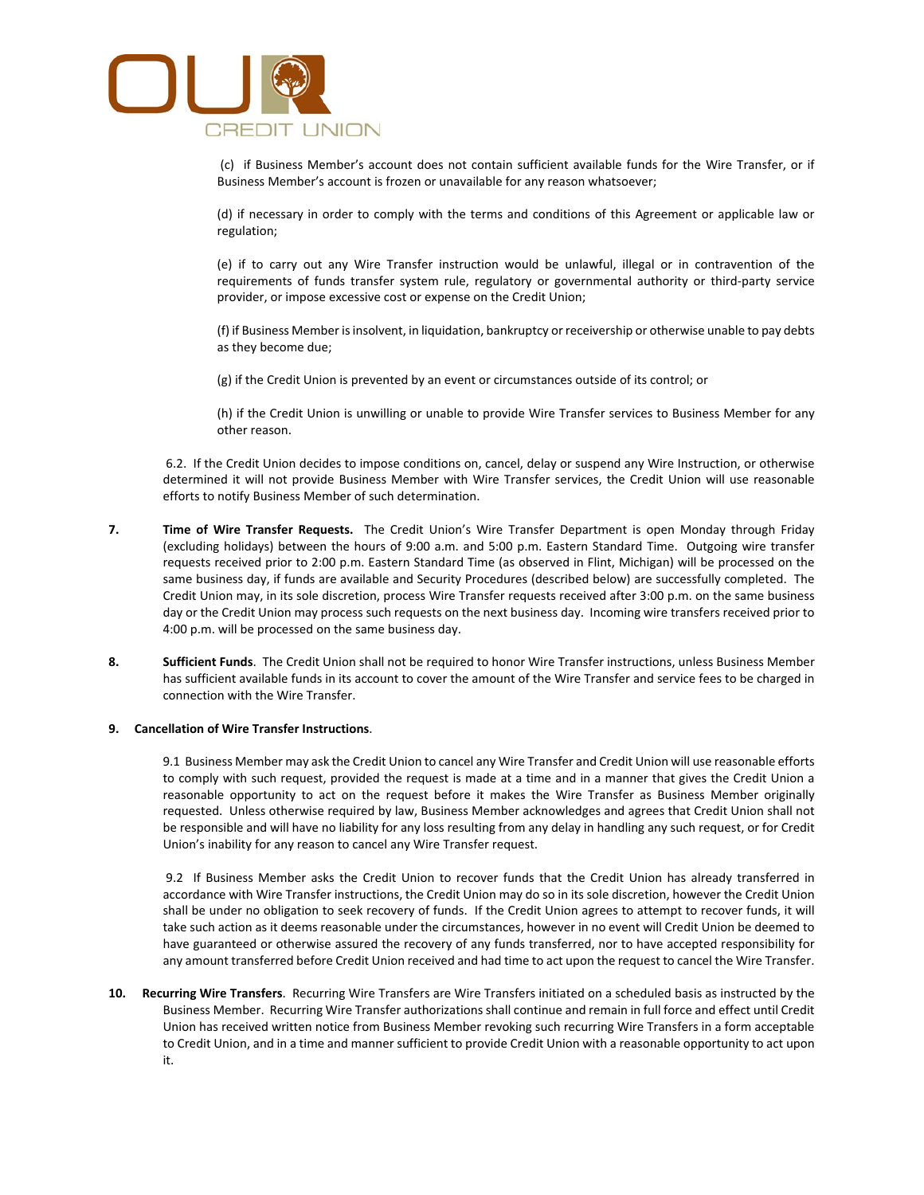

 (c) if Business Member's account does not contain sufficient available funds for the Wire Transfer, or if Business Member's account is frozen or unavailable for any reason whatsoever;

 (d) if necessary in order to comply with the terms and conditions of this Agreement or applicable law or regulation;

 (e) if to carry out any Wire Transfer instruction would be unlawful, illegal or in contravention of the requirements of funds transfer system rule, regulatory or governmental authority or third-party service provider, or impose excessive cost or expense on the Credit Union;

 (f) if Business Member is insolvent, in liquidation, bankruptcy or receivership or otherwise unable to pay debts as they become due;

(g) if the Credit Union is prevented by an event or circumstances outside of its control; or

 (h) if the Credit Union is unwilling or unable to provide Wire Transfer services to Business Member for any other reason.

6.2. If the Credit Union decides to impose conditions on, cancel, delay or suspend any Wire Instruction, or otherwise determined it will not provide Business Member with Wire Transfer services, the Credit Union will use reasonable efforts to notify Business Member of such determination.

- **7. Time of Wire Transfer Requests.** The Credit Union's Wire Transfer Department is open Monday through Friday (excluding holidays) between the hours of 9:00 a.m. and 5:00 p.m. Eastern Standard Time. Outgoing wire transfer requests received prior to 2:00 p.m. Eastern Standard Time (as observed in Flint, Michigan) will be processed on the same business day, if funds are available and Security Procedures (described below) are successfully completed. The Credit Union may, in its sole discretion, process Wire Transfer requests received after 3:00 p.m. on the same business day or the Credit Union may process such requests on the next business day. Incoming wire transfers received prior to 4:00 p.m. will be processed on the same business day.
- **8. Sufficient Funds**. The Credit Union shall not be required to honor Wire Transfer instructions, unless Business Member has sufficient available funds in its account to cover the amount of the Wire Transfer and service fees to be charged in connection with the Wire Transfer.

### **9. Cancellation of Wire Transfer Instructions**.

9.1 Business Member may ask the Credit Union to cancel any Wire Transfer and Credit Union will use reasonable efforts to comply with such request, provided the request is made at a time and in a manner that gives the Credit Union a reasonable opportunity to act on the request before it makes the Wire Transfer as Business Member originally requested. Unless otherwise required by law, Business Member acknowledges and agrees that Credit Union shall not be responsible and will have no liability for any loss resulting from any delay in handling any such request, or for Credit Union's inability for any reason to cancel any Wire Transfer request.

9.2 If Business Member asks the Credit Union to recover funds that the Credit Union has already transferred in accordance with Wire Transfer instructions, the Credit Union may do so in its sole discretion, however the Credit Union shall be under no obligation to seek recovery of funds. If the Credit Union agrees to attempt to recover funds, it will take such action as it deems reasonable under the circumstances, however in no event will Credit Union be deemed to have guaranteed or otherwise assured the recovery of any funds transferred, nor to have accepted responsibility for any amount transferred before Credit Union received and had time to act upon the request to cancel the Wire Transfer.

**10. Recurring Wire Transfers**. Recurring Wire Transfers are Wire Transfers initiated on a scheduled basis as instructed by the Business Member. Recurring Wire Transfer authorizations shall continue and remain in full force and effect until Credit Union has received written notice from Business Member revoking such recurring Wire Transfers in a form acceptable to Credit Union, and in a time and manner sufficient to provide Credit Union with a reasonable opportunity to act upon it.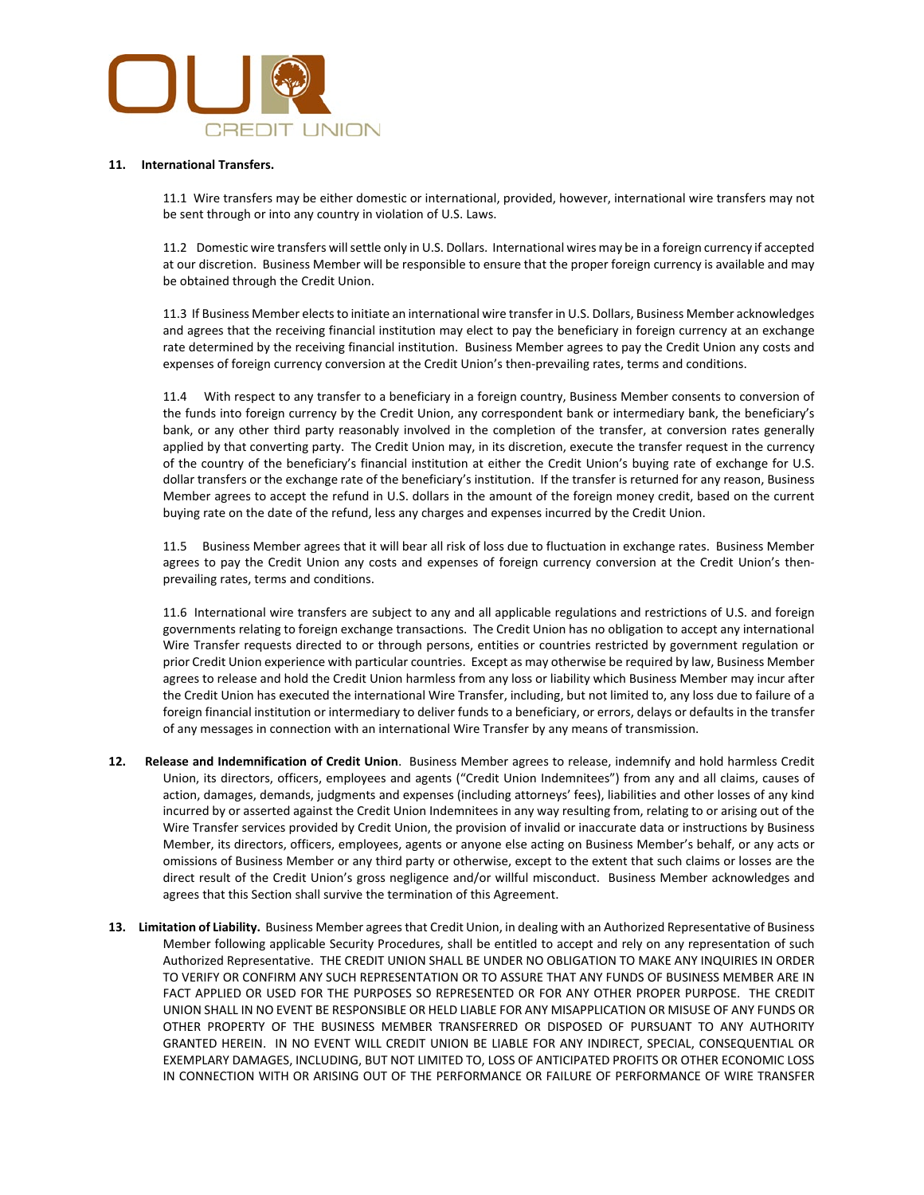

#### **11. International Transfers.**

11.1 Wire transfers may be either domestic or international, provided, however, international wire transfers may not be sent through or into any country in violation of U.S. Laws.

11.2 Domestic wire transfers will settle only in U.S. Dollars. International wires may be in a foreign currency if accepted at our discretion. Business Member will be responsible to ensure that the proper foreign currency is available and may be obtained through the Credit Union.

11.3 If Business Member elects to initiate an international wire transfer in U.S. Dollars, Business Member acknowledges and agrees that the receiving financial institution may elect to pay the beneficiary in foreign currency at an exchange rate determined by the receiving financial institution. Business Member agrees to pay the Credit Union any costs and expenses of foreign currency conversion at the Credit Union's then-prevailing rates, terms and conditions.

11.4 With respect to any transfer to a beneficiary in a foreign country, Business Member consents to conversion of the funds into foreign currency by the Credit Union, any correspondent bank or intermediary bank, the beneficiary's bank, or any other third party reasonably involved in the completion of the transfer, at conversion rates generally applied by that converting party. The Credit Union may, in its discretion, execute the transfer request in the currency of the country of the beneficiary's financial institution at either the Credit Union's buying rate of exchange for U.S. dollar transfers or the exchange rate of the beneficiary's institution. If the transfer is returned for any reason, Business Member agrees to accept the refund in U.S. dollars in the amount of the foreign money credit, based on the current buying rate on the date of the refund, less any charges and expenses incurred by the Credit Union.

11.5 Business Member agrees that it will bear all risk of loss due to fluctuation in exchange rates. Business Member agrees to pay the Credit Union any costs and expenses of foreign currency conversion at the Credit Union's thenprevailing rates, terms and conditions.

11.6 International wire transfers are subject to any and all applicable regulations and restrictions of U.S. and foreign governments relating to foreign exchange transactions. The Credit Union has no obligation to accept any international Wire Transfer requests directed to or through persons, entities or countries restricted by government regulation or prior Credit Union experience with particular countries. Except as may otherwise be required by law, Business Member agrees to release and hold the Credit Union harmless from any loss or liability which Business Member may incur after the Credit Union has executed the international Wire Transfer, including, but not limited to, any loss due to failure of a foreign financial institution or intermediary to deliver funds to a beneficiary, or errors, delays or defaults in the transfer of any messages in connection with an international Wire Transfer by any means of transmission.

- **12. Release and Indemnification of Credit Union**. Business Member agrees to release, indemnify and hold harmless Credit Union, its directors, officers, employees and agents ("Credit Union Indemnitees") from any and all claims, causes of action, damages, demands, judgments and expenses (including attorneys' fees), liabilities and other losses of any kind incurred by or asserted against the Credit Union Indemnitees in any way resulting from, relating to or arising out of the Wire Transfer services provided by Credit Union, the provision of invalid or inaccurate data or instructions by Business Member, its directors, officers, employees, agents or anyone else acting on Business Member's behalf, or any acts or omissions of Business Member or any third party or otherwise, except to the extent that such claims or losses are the direct result of the Credit Union's gross negligence and/or willful misconduct. Business Member acknowledges and agrees that this Section shall survive the termination of this Agreement.
- **13. Limitation of Liability.** Business Member agrees that Credit Union, in dealing with an Authorized Representative of Business Member following applicable Security Procedures, shall be entitled to accept and rely on any representation of such Authorized Representative. THE CREDIT UNION SHALL BE UNDER NO OBLIGATION TO MAKE ANY INQUIRIES IN ORDER TO VERIFY OR CONFIRM ANY SUCH REPRESENTATION OR TO ASSURE THAT ANY FUNDS OF BUSINESS MEMBER ARE IN FACT APPLIED OR USED FOR THE PURPOSES SO REPRESENTED OR FOR ANY OTHER PROPER PURPOSE. THE CREDIT UNION SHALL IN NO EVENT BE RESPONSIBLE OR HELD LIABLE FOR ANY MISAPPLICATION OR MISUSE OF ANY FUNDS OR OTHER PROPERTY OF THE BUSINESS MEMBER TRANSFERRED OR DISPOSED OF PURSUANT TO ANY AUTHORITY GRANTED HEREIN. IN NO EVENT WILL CREDIT UNION BE LIABLE FOR ANY INDIRECT, SPECIAL, CONSEQUENTIAL OR EXEMPLARY DAMAGES, INCLUDING, BUT NOT LIMITED TO, LOSS OF ANTICIPATED PROFITS OR OTHER ECONOMIC LOSS IN CONNECTION WITH OR ARISING OUT OF THE PERFORMANCE OR FAILURE OF PERFORMANCE OF WIRE TRANSFER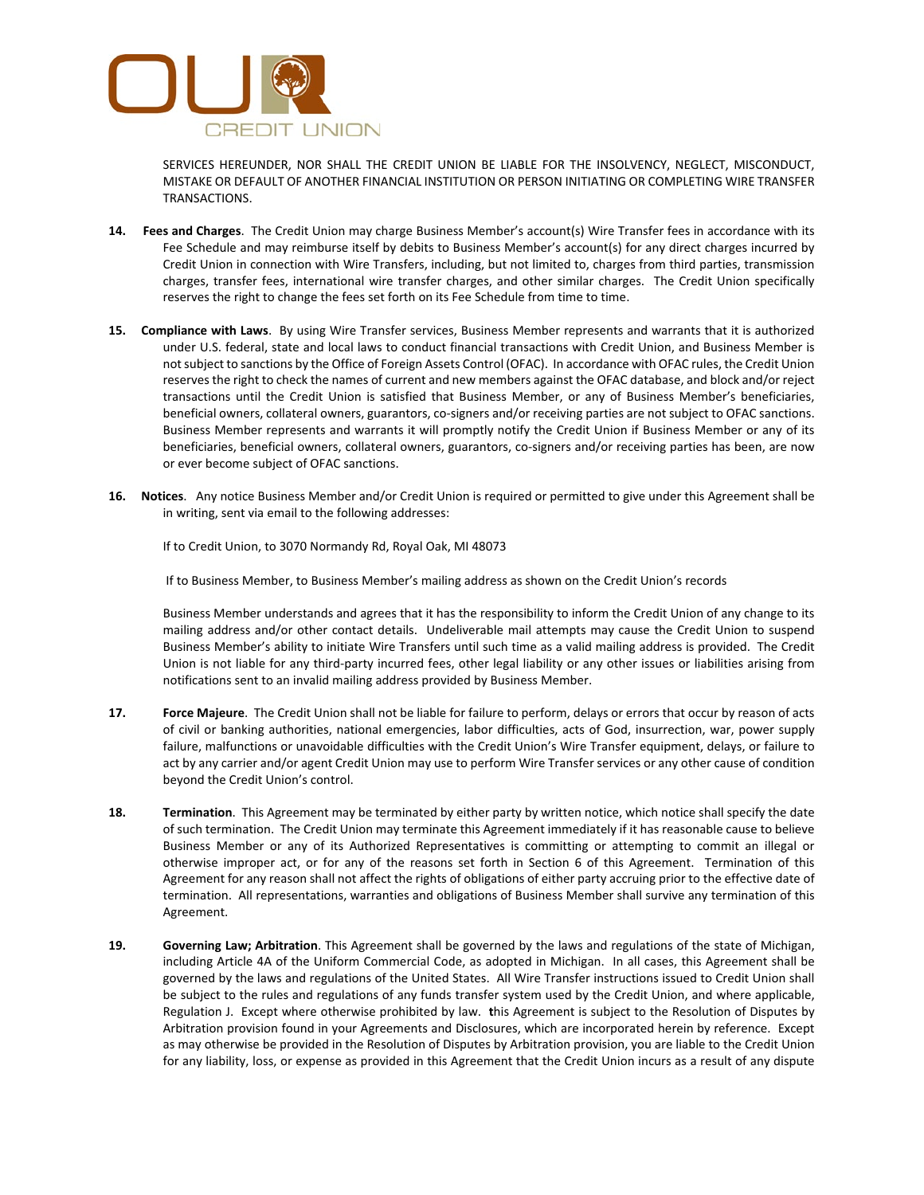

SERVICES HEREUNDER, NOR SHALL THE CREDIT UNION BE LIABLE FOR THE INSOLVENCY, NEGLECT, MISCONDUCT, MISTAKE OR DEFAULT OF ANOTHER FINANCIAL INSTITUTION OR PERSON INITIATING OR COMPLETING WIRE TRANSFER TRANSACTIONS.

- **14. Fees and Charges**. The Credit Union may charge Business Member's account(s) Wire Transfer fees in accordance with its Fee Schedule and may reimburse itself by debits to Business Member's account(s) for any direct charges incurred by Credit Union in connection with Wire Transfers, including, but not limited to, charges from third parties, transmission charges, transfer fees, international wire transfer charges, and other similar charges. The Credit Union specifically reserves the right to change the fees set forth on its Fee Schedule from time to time.
- **15. Compliance with Laws**. By using Wire Transfer services, Business Member represents and warrants that it is authorized under U.S. federal, state and local laws to conduct financial transactions with Credit Union, and Business Member is not subject to sanctions by the Office of Foreign Assets Control (OFAC). In accordance with OFAC rules, the Credit Union reserves the right to check the names of current and new members against the OFAC database, and block and/or reject transactions until the Credit Union is satisfied that Business Member, or any of Business Member's beneficiaries, beneficial owners, collateral owners, guarantors, co-signers and/or receiving parties are not subject to OFAC sanctions. Business Member represents and warrants it will promptly notify the Credit Union if Business Member or any of its beneficiaries, beneficial owners, collateral owners, guarantors, co-signers and/or receiving parties has been, are now or ever become subject of OFAC sanctions.
- **16. Notices**. Any notice Business Member and/or Credit Union is required or permitted to give under this Agreement shall be in writing, sent via email to the following addresses:

If to Credit Union, to 3070 Normandy Rd, Royal Oak, MI 48073

If to Business Member, to Business Member's mailing address as shown on the Credit Union's records

Business Member understands and agrees that it has the responsibility to inform the Credit Union of any change to its mailing address and/or other contact details. Undeliverable mail attempts may cause the Credit Union to suspend Business Member's ability to initiate Wire Transfers until such time as a valid mailing address is provided. The Credit Union is not liable for any third-party incurred fees, other legal liability or any other issues or liabilities arising from notifications sent to an invalid mailing address provided by Business Member.

- **17. Force Majeure**. The Credit Union shall not be liable for failure to perform, delays or errors that occur by reason of acts of civil or banking authorities, national emergencies, labor difficulties, acts of God, insurrection, war, power supply failure, malfunctions or unavoidable difficulties with the Credit Union's Wire Transfer equipment, delays, or failure to act by any carrier and/or agent Credit Union may use to perform Wire Transfer services or any other cause of condition beyond the Credit Union's control.
- **18. Termination**. This Agreement may be terminated by either party by written notice, which notice shall specify the date of such termination. The Credit Union may terminate this Agreement immediately if it has reasonable cause to believe Business Member or any of its Authorized Representatives is committing or attempting to commit an illegal or otherwise improper act, or for any of the reasons set forth in Section 6 of this Agreement. Termination of this Agreement for any reason shall not affect the rights of obligations of either party accruing prior to the effective date of termination. All representations, warranties and obligations of Business Member shall survive any termination of this Agreement.
- **19. Governing Law; Arbitration**. This Agreement shall be governed by the laws and regulations of the state of Michigan, including Article 4A of the Uniform Commercial Code, as adopted in Michigan. In all cases, this Agreement shall be governed by the laws and regulations of the United States. All Wire Transfer instructions issued to Credit Union shall be subject to the rules and regulations of any funds transfer system used by the Credit Union, and where applicable, Regulation J. Except where otherwise prohibited by law. **t**his Agreement is subject to the Resolution of Disputes by Arbitration provision found in your Agreements and Disclosures, which are incorporated herein by reference. Except as may otherwise be provided in the Resolution of Disputes by Arbitration provision, you are liable to the Credit Union for any liability, loss, or expense as provided in this Agreement that the Credit Union incurs as a result of any dispute